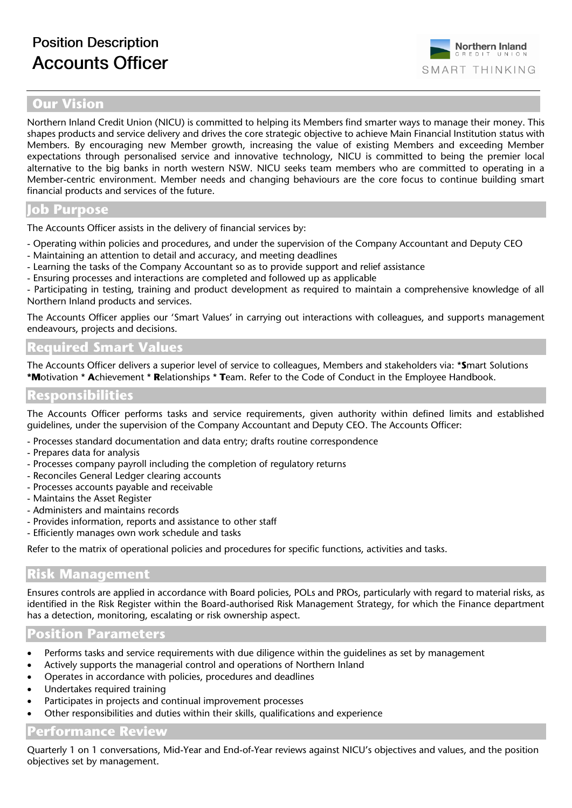## **Northern Inland** CREDIT SMART THINKING

## **Our Vision**

Northern Inland Credit Union (NICU) is committed to helping its Members find smarter ways to manage their money. This shapes products and service delivery and drives the core strategic objective to achieve Main Financial Institution status with Members. By encouraging new Member growth, increasing the value of existing Members and exceeding Member expectations through personalised service and innovative technology, NICU is committed to being the premier local alternative to the big banks in north western NSW. NICU seeks team members who are committed to operating in a Member-centric environment. Member needs and changing behaviours are the core focus to continue building smart financial products and services of the future.

#### **Job Purpose**

The Accounts Officer assists in the delivery of financial services by:

- Operating within policies and procedures, and under the supervision of the Company Accountant and Deputy CEO
- Maintaining an attention to detail and accuracy, and meeting deadlines
- Learning the tasks of the Company Accountant so as to provide support and relief assistance
- Ensuring processes and interactions are completed and followed up as applicable

- Participating in testing, training and product development as required to maintain a comprehensive knowledge of all Northern Inland products and services.

The Accounts Officer applies our 'Smart Values' in carrying out interactions with colleagues, and supports management endeavours, projects and decisions.

# **Required Smart Values**

The Accounts Officer delivers a superior level of service to colleagues, Members and stakeholders via: \***S**mart Solutions **\*M**otivation \* **A**chievement \* **R**elationships \* **T**eam. Refer to the Code of Conduct in the Employee Handbook.

## **Responsibilities**

The Accounts Officer performs tasks and service requirements, given authority within defined limits and established guidelines, under the supervision of the Company Accountant and Deputy CEO. The Accounts Officer:

- Processes standard documentation and data entry; drafts routine correspondence
- Prepares data for analysis
- Processes company payroll including the completion of regulatory returns
- Reconciles General Ledger clearing accounts
- Processes accounts payable and receivable
- Maintains the Asset Register
- Administers and maintains records
- Provides information, reports and assistance to other staff
- Efficiently manages own work schedule and tasks

Refer to the matrix of operational policies and procedures for specific functions, activities and tasks.

## **Risk Management**

Ensures controls are applied in accordance with Board policies, POLs and PROs, particularly with regard to material risks, as identified in the Risk Register within the Board-authorised Risk Management Strategy, for which the Finance department has a detection, monitoring, escalating or risk ownership aspect.

#### **Position Parameters**

- Performs tasks and service requirements with due diligence within the guidelines as set by management
- Actively supports the managerial control and operations of Northern Inland
- Operates in accordance with policies, procedures and deadlines
- Undertakes required training
- Participates in projects and continual improvement processes
- Other responsibilities and duties within their skills, qualifications and experience

## **Performance Review**

Quarterly 1 on 1 conversations, Mid-Year and End-of-Year reviews against NICU's objectives and values, and the position objectives set by management.